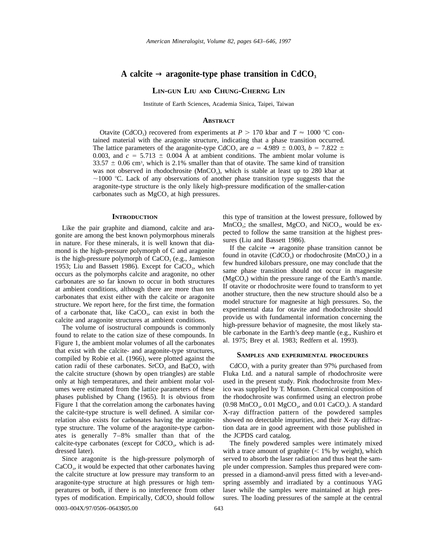# A calcite  $\rightarrow$  aragonite-type phase transition in CdCO<sub>3</sub>

## **LIN-GUN LIU AND CHUNG-CHERNG LIN**

Institute of Earth Sciences, Academia Sinica, Taipei, Taiwan

#### **ABSTRACT**

Otavite (CdCO<sub>3</sub>) recovered from experiments at  $P > 170$  kbar and  $T \approx 1000$  °C contained material with the aragonite structure, indicating that a phase transition occurred. The lattice parameters of the aragonite-type CdCO<sub>3</sub> are  $a = 4.989 \pm 0.003$ ,  $b = 7.822 \pm 0.003$ 0.003, and  $c = 5.713 \pm 0.004$  Å at ambient conditions. The ambient molar volume is  $33.57 \pm 0.06$  cm<sup>3</sup>, which is 2.1% smaller than that of otavite. The same kind of transition was not observed in rhodochrosite ( $MnCO<sub>3</sub>$ ), which is stable at least up to 280 kbar at  $\sim$ 1000 °C. Lack of any observations of another phase transition type suggests that the aragonite-type structure is the only likely high-pressure modification of the smaller-cation carbonates such as  $MgCO<sub>3</sub>$  at high pressures.

#### **INTRODUCTION**

Like the pair graphite and diamond, calcite and aragonite are among the best known polymorphous minerals in nature. For these minerals, it is well known that diamond is the high-pressure polymorph of C and aragonite is the high-pressure polymorph of  $CaCO<sub>3</sub>$  (e.g., Jamieson 1953; Liu and Bassett 1986). Except for  $CaCO<sub>3</sub>$ , which occurs as the polymorphs calcite and aragonite, no other carbonates are so far known to occur in both structures at ambient conditions, although there are more than ten carbonates that exist either with the calcite or aragonite structure. We report here, for the first time, the formation of a carbonate that, like  $CaCO<sub>3</sub>$ , can exist in both the calcite and aragonite structures at ambient conditions.

The volume of isostructural compounds is commonly found to relate to the cation size of these compounds. In Figure 1, the ambient molar volumes of all the carbonates that exist with the calcite- and aragonite-type structures, compiled by Robie et al. (1966), were plotted against the cation radii of these carbonates. SrCO<sub>3</sub> and BaCO<sub>3</sub> with the calcite structure (shown by open triangles) are stable only at high temperatures, and their ambient molar volumes were estimated from the lattice parameters of these phases published by Chang (1965). It is obvious from Figure 1 that the correlation among the carbonates having the calcite-type structure is well defined. A similar correlation also exists for carbonates having the aragonitetype structure. The volume of the aragonite-type carbonates is generally 7–8% smaller than that of the calcite-type carbonates (except for  $CdCO<sub>3</sub>$ , which is addressed later).

Since aragonite is the high-pressure polymorph of CaCO<sub>3</sub>, it would be expected that other carbonates having the calcite structure at low pressure may transform to an aragonite-type structure at high pressures or high temperatures or both, if there is no interference from other types of modification. Empirically,  $CdCO<sub>3</sub>$  should follow

this type of transition at the lowest pressure, followed by  $MnCO<sub>3</sub>$ ; the smallest,  $MgCO<sub>3</sub>$  and  $NiCO<sub>3</sub>$ , would be expected to follow the same transition at the highest pressures (Liu and Bassett 1986).

If the calcite  $\rightarrow$  aragonite phase transition cannot be found in otavite  $(CdCO<sub>3</sub>)$  or rhodochrosite  $(MnCO<sub>3</sub>)$  in a few hundred kilobars pressure, one may conclude that the same phase transition should not occur in magnesite  $(MgCO<sub>3</sub>)$  within the pressure range of the Earth's mantle. If otavite or rhodochrosite were found to transform to yet another structure, then the new structure should also be a model structure for magnesite at high pressures. So, the experimental data for otavite and rhodochrosite should provide us with fundamental information concerning the high-pressure behavior of magnesite, the most likely stable carbonate in the Earth's deep mantle (e.g., Kushiro et al. 1975; Brey et al. 1983; Redfern et al. 1993).

#### **SAMPLES AND EXPERIMENTAL PROCEDURES**

 $CdCO<sub>3</sub>$  with a purity greater than 97% purchased from Fluka Ltd. and a natural sample of rhodochrosite were used in the present study. Pink rhodochrosite from Mexico was supplied by T. Munson. Chemical composition of the rhodochrosite was confirmed using an electron probe  $(0.98 \text{ MnCO}_3, 0.01 \text{ MgCO}_3, \text{ and } 0.01 \text{ CaCO}_3)$ . A standard X-ray diffraction pattern of the powdered samples showed no detectable impurities, and their X-ray diffraction data are in good agreement with those published in the JCPDS card catalog.

The finely powdered samples were intimately mixed with a trace amount of graphite  $(< 1\%$  by weight), which served to absorb the laser radiation and thus heat the sample under compression. Samples thus prepared were compressed in a diamond-anvil press fitted with a lever-andspring assembly and irradiated by a continuous YAG laser while the samples were maintained at high pressures. The loading pressures of the sample at the central

0003–004X/97/0506–0643\$05.00 643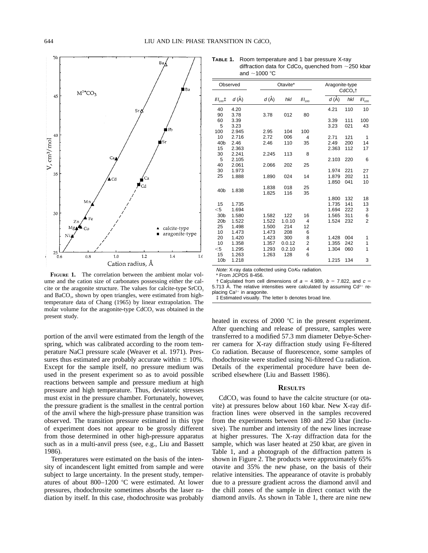

**FIGURE 1.** The correlation between the ambient molar volume and the cation size of carbonates possessing either the calcite or the aragonite structure. The values for calcite-type  $SrCO<sub>3</sub>$ and BaCO<sub>3</sub>, shown by open triangles, were estimated from hightemperature data of Chang (1965) by linear extrapolation. The molar volume for the aragonite-type  $CdCO<sub>3</sub>$  was obtained in the present study.

portion of the anvil were estimated from the length of the spring, which was calibrated according to the room temperature NaCl pressure scale (Weaver et al. 1971). Pressures thus estimated are probably accurate within  $\pm$  10%. Except for the sample itself, no pressure medium was used in the present experiment so as to avoid possible reactions between sample and pressure medium at high pressure and high temperature. Thus, deviatoric stresses must exist in the pressure chamber. Fortunately, however, the pressure gradient is the smallest in the central portion of the anvil where the high-pressure phase transition was observed. The transition pressure estimated in this type of experiment does not appear to be grossly different from those determined in other high-pressure apparatus such as in a multi-anvil press (see, e.g., Liu and Bassett 1986).

Temperatures were estimated on the basis of the intensity of incandescent light emitted from sample and were subject to large uncertainty. In the present study, temperatures of about 800-1200 °C were estimated. At lower pressures, rhodochrosite sometimes absorbs the laser radiation by itself. In this case, rhodochrosite was probably

**TABLE 1.** Room temperature and 1 bar pressure X-ray diffraction data for CdCo<sub>3</sub> quenched from  $\sim$ 250 kbar and  $\sim$ 1000 °C

| Observed          |          | Otavite* |        |             | Aragonite-type<br>$CdCO3$ † |     |                |
|-------------------|----------|----------|--------|-------------|-----------------------------|-----|----------------|
| $1/1_{100}$ $\pm$ | $d(\AA)$ | $d(\AA)$ | hkl    | $III_{100}$ | $d(\AA)$                    | hkl | $\#I_{100}$    |
| 40                | 4.20     |          |        |             | 4.21                        | 110 | 10             |
| 90                | 3.78     | 3.78     | 012    | 80          |                             |     |                |
| 60                | 3.39     |          |        |             | 3.39                        | 111 | 100            |
| 5                 | 3.23     |          |        |             | 3.23                        | 021 | 43             |
| 100               | 2.945    | 2.95     | 104    | 100         |                             |     |                |
| 10                | 2.716    | 2.72     | 006    | 4           | 2.71                        | 121 | 1              |
| 40 <sub>b</sub>   | 2.46     | 2.46     | 110    | 35          | 2.49                        | 200 | 14             |
| 15                | 2.363    |          |        |             | 2.363                       | 112 | 17             |
| 30                | 2.241    | 2.245    | 113    | 8           |                             |     |                |
| 5                 | 2.105    |          |        |             | 2.103                       | 220 | 6              |
| 40                | 2.061    | 2.066    | 202    | 25          |                             |     |                |
| 30                | 1.973    |          |        |             | 1.974                       | 221 | 27             |
| 25                | 1.888    | 1.890    | 024    | 14          | 1.879                       | 202 | 11             |
|                   |          |          |        |             | 1.850                       | 041 | 10             |
| 40 <sub>b</sub>   | 1.838    | 1.838    | 018    | 25          |                             |     |                |
|                   |          | 1.825    | 116    | 35          |                             |     |                |
|                   |          |          |        |             | 1.800                       | 132 | 18             |
| 15                | 1.735    |          |        |             | 1.735                       | 141 | 13             |
| $<$ 5             | 1.694    |          |        |             | 1.694                       | 222 | 3              |
| 30 <sub>b</sub>   | 1.580    | 1.582    | 122    | 16          | 1.565                       | 311 | 6              |
| 20 <sub>b</sub>   | 1.522    | 1.522    | 1.0.10 | 4           | 1.524                       | 232 | $\overline{2}$ |
| 25                | 1.498    | 1.500    | 214    | 12          |                             |     |                |
| 10                | 1.473    | 1.473    | 208    | 6           |                             |     |                |
| 20                | 1.420    | 1.423    | 300    | 8           | 1.428                       | 004 | 1              |
| 10                | 1.358    | 1.357    | 0.0.12 | 2           | 1.355                       | 242 | 1              |
| $<$ 5             | 1.295    | 1.293    | 0.2.10 | 4           | 1.304                       | 060 | 1              |
| 15                | 1.263    | 1.263    | 128    | 6           |                             |     |                |
| 10 <sub>b</sub>   | 1.218    |          |        |             | 1.215                       | 134 | 3              |
|                   |          |          |        |             |                             |     |                |

*Note:* X-ray data collected using Co*K*α radiation.<br>\* From JCPDS 8-456.

† Calculated from cell dimensions of  $a = 4.989$ ,  $b = 7.822$ , and  $c =$ 

5.713 Å. The relative intensities were calculated by assuming  $Cd^{2+}$  replacing  $Ca^{2+}$  in aragonite.

‡ Estimated visually. The letter b denotes broad line.

heated in excess of 2000  $^{\circ}$ C in the present experiment. After quenching and release of pressure, samples were transferred to a modified 57.3 mm diameter Debye-Scherrer camera for X-ray diffraction study using Fe-filtered Co radiation. Because of fluorescence, some samples of rhodochrosite were studied using Ni-filtered Cu radiation. Details of the experimental procedure have been described elsewhere (Liu and Bassett 1986).

## **RESULTS**

 $CdCO<sub>3</sub>$  was found to have the calcite structure (or otavite) at pressures below about 160 kbar. New X-ray diffraction lines were observed in the samples recovered from the experiments between 180 and 250 kbar (inclusive). The number and intensity of the new lines increase at higher pressures. The X-ray diffraction data for the sample, which was laser heated at 250 kbar, are given in Table 1, and a photograph of the diffraction pattern is shown in Figure 2. The products were approximately 65% otavite and 35% the new phase, on the basis of their relative intensities. The appearance of otavite is probably due to a pressure gradient across the diamond anvil and the chill zones of the sample in direct contact with the diamond anvils. As shown in Table 1, there are nine new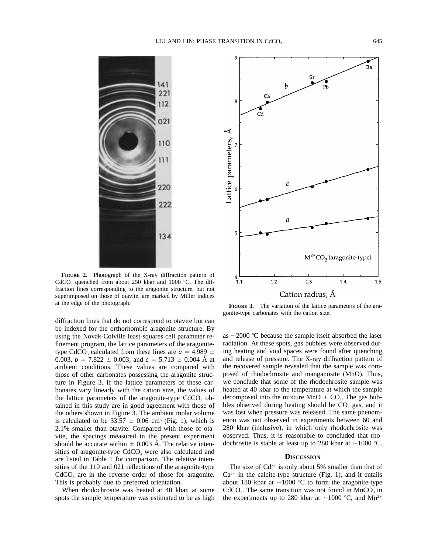

**FIGURE 2.** Photograph of the X-ray diffraction pattern of CdCO<sub>3</sub> quenched from about 250 kbar and 1000  $^{\circ}$ C. The diffraction lines corresponding to the aragonite structure, but not superimposed on those of otavite, are marked by Miller indices at the edge of the photograph. **FIGURE 3.** The variation of the lattice parameters of the ara-

diffraction lines that do not correspond to otavite but can be indexed for the orthorhombic aragonite structure. By using the Novak-Colville least-squares cell parameter refinement program, the lattice parameters of the aragonitetype CdCO<sub>3</sub> calculated from these lines are  $a = 4.989 \pm 1.00$ 0.003,  $b = 7.822 \pm 0.003$ , and  $c = 5.713 \pm 0.004$  Å at ambient conditions. These values are compared with those of other carbonates possessing the aragonite structure in Figure 3. If the lattice parameters of these carbonates vary linearly with the cation size, the values of the lattice parameters of the aragonite-type  $CdCO<sub>3</sub>$  obtained in this study are in good agreement with those of the others shown in Figure 3. The ambient molar volume is calculated to be  $33.57 \pm 0.06$  cm<sup>3</sup> (Fig. 1), which is 2.1% smaller than otavite. Compared with those of otavite, the spacings measured in the present experiment should be accurate within  $\pm$  0.003 Å. The relative intensities of aragonite-type CdCO<sub>3</sub> were also calculated and are listed in Table 1 for comparison. The relative intensities of the 110 and 021 reflections of the aragonite-type  $CdCO<sub>3</sub>$  are in the reverse order of those for aragonite. This is probably due to preferred orientation.

When rhodochrosite was heated at 40 kbar, at some spots the sample temperature was estimated to be as high



gonite-type carbonates with the cation size.

as  $\sim$ 2000 °C because the sample itself absorbed the laser radiation. At these spots, gas bubbles were observed during heating and void spaces were found after quenching and release of pressure. The X-ray diffraction pattern of the recovered sample revealed that the sample was composed of rhodochrosite and manganosite (MnO). Thus, we conclude that some of the rhodochrosite sample was heated at 40 kbar to the temperature at which the sample decomposed into the mixture  $MnO + CO<sub>2</sub>$ . The gas bubbles observed during heating should be  $CO<sub>2</sub>$  gas, and it was lost when pressure was released. The same phenomenon was not observed in experiments between 60 and 280 kbar (inclusive), in which only rhodochrosite was observed. Thus, it is reasonable to concluded that rhodochrosite is stable at least up to 280 kbar at  $\sim$ 1000 °C.

### **DISCUSSION**

The size of  $Cd^{2+}$  is only about 5% smaller than that of  $Ca^{2+}$  in the calcite-type structure (Fig. 1), and it entails about 180 kbar at  $\sim$ 1000 °C to form the aragonite-type  $CdCO<sub>3</sub>$ . The same transition was not found in MnCO<sub>3</sub> in the experiments up to 280 kbar at  $\sim$ 1000 °C, and Mn<sup>2+</sup>